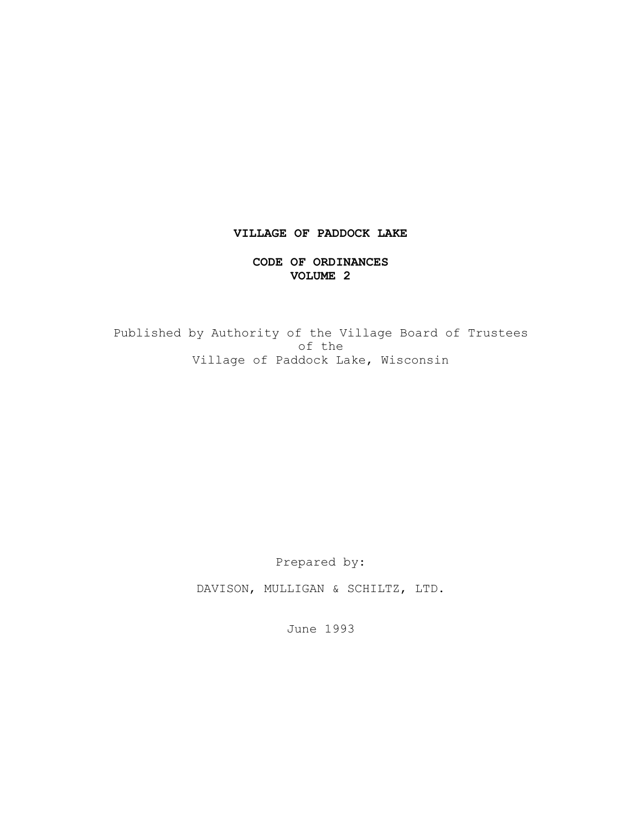# **VILLAGE OF PADDOCK LAKE**

#### **CODE OF ORDINANCES VOLUME 2**

Published by Authority of the Village Board of Trustees of the Village of Paddock Lake, Wisconsin

Prepared by:

DAVISON, MULLIGAN & SCHILTZ, LTD.

June 1993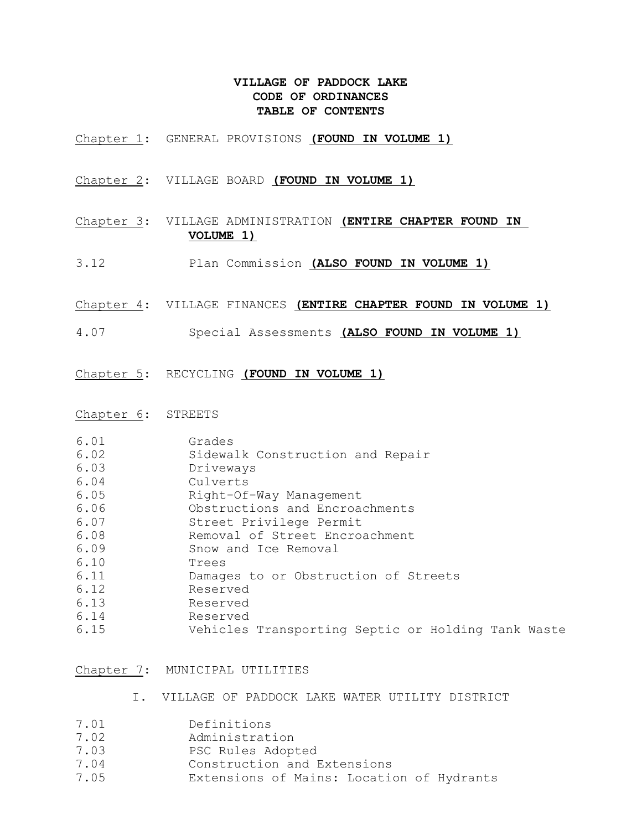### **VILLAGE OF PADDOCK LAKE CODE OF ORDINANCES TABLE OF CONTENTS**

- Chapter 1: GENERAL PROVISIONS **(FOUND IN VOLUME 1)**
- Chapter 2: VILLAGE BOARD **(FOUND IN VOLUME 1)**
- Chapter 3: VILLAGE ADMINISTRATION **(ENTIRE CHAPTER FOUND IN VOLUME 1)**
- 3.12 Plan Commission **(ALSO FOUND IN VOLUME 1)**
- Chapter 4: VILLAGE FINANCES **(ENTIRE CHAPTER FOUND IN VOLUME 1)**
- 4.07 Special Assessments **(ALSO FOUND IN VOLUME 1)**
- Chapter 5: RECYCLING **(FOUND IN VOLUME 1)**
- Chapter 6: STREETS

| 6.01 | Grades                                             |
|------|----------------------------------------------------|
| 6.02 | Sidewalk Construction and Repair                   |
| 6.03 | Driveways                                          |
| 6.04 | Culverts                                           |
| 6.05 | Right-Of-Way Management                            |
| 6.06 | Obstructions and Encroachments                     |
| 6.07 | Street Privilege Permit                            |
| 6.08 | Removal of Street Encroachment                     |
| 6.09 | Snow and Ice Removal                               |
| 6.10 | Trees                                              |
| 6.11 | Damages to or Obstruction of Streets               |
| 6.12 | Reserved                                           |
| 6.13 | Reserved                                           |
| 6.14 | Reserved                                           |
| 6.15 | Vehicles Transporting Septic or Holding Tank Waste |
|      |                                                    |

Chapter 7: MUNICIPAL UTILITIES

- I. VILLAGE OF PADDOCK LAKE WATER UTILITY DISTRICT
- 7.01 Definitions
- 7.02 Administration
- 7.03 PSC Rules Adopted
- 7.04 Construction and Extensions
- 7.05 Extensions of Mains: Location of Hydrants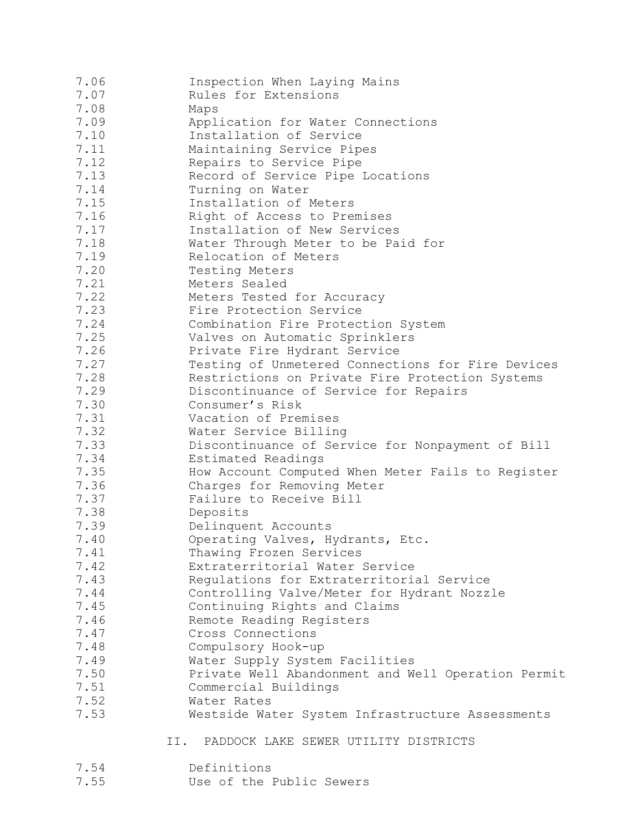| 7.06 | Inspection When Laying Mains                       |
|------|----------------------------------------------------|
| 7.07 | Rules for Extensions                               |
| 7.08 | Maps                                               |
| 7.09 | Application for Water Connections                  |
| 7.10 | Installation of Service                            |
| 7.11 | Maintaining Service Pipes                          |
| 7.12 | Repairs to Service Pipe                            |
| 7.13 | Record of Service Pipe Locations                   |
| 7.14 | Turning on Water                                   |
| 7.15 | Installation of Meters                             |
| 7.16 | Right of Access to Premises                        |
| 7.17 | Installation of New Services                       |
| 7.18 | Water Through Meter to be Paid for                 |
| 7.19 | Relocation of Meters                               |
| 7.20 | Testing Meters                                     |
| 7.21 | Meters Sealed                                      |
| 7.22 | Meters Tested for Accuracy                         |
| 7.23 | Fire Protection Service                            |
| 7.24 | Combination Fire Protection System                 |
| 7.25 | Valves on Automatic Sprinklers                     |
| 7.26 | Private Fire Hydrant Service                       |
| 7.27 | Testing of Unmetered Connections for Fire Devices  |
| 7.28 | Restrictions on Private Fire Protection Systems    |
| 7.29 | Discontinuance of Service for Repairs              |
| 7.30 | Consumer's Risk                                    |
| 7.31 | Vacation of Premises                               |
| 7.32 | Water Service Billing                              |
| 7.33 | Discontinuance of Service for Nonpayment of Bill   |
| 7.34 | Estimated Readings                                 |
| 7.35 | How Account Computed When Meter Fails to Register  |
| 7.36 | Charges for Removing Meter                         |
| 7.37 | Failure to Receive Bill                            |
| 7.38 | Deposits                                           |
| 7.39 | Delinquent Accounts                                |
| 7.40 | Operating Valves, Hydrants, Etc.                   |
| 7.41 | Thawing Frozen Services                            |
| 7.42 | Extraterritorial Water Service                     |
| 7.43 | Regulations for Extraterritorial Service           |
| 7.44 | Controlling Valve/Meter for Hydrant Nozzle         |
| 7.45 | Continuing Rights and Claims                       |
| 7.46 | Remote Reading Registers                           |
| 7.47 | Cross Connections                                  |
| 7.48 | Compulsory Hook-up                                 |
| 7.49 | Water Supply System Facilities                     |
| 7.50 | Private Well Abandonment and Well Operation Permit |
| 7.51 | Commercial Buildings                               |
| 7.52 | Water Rates                                        |
| 7.53 | Westside Water System Infrastructure Assessments   |
|      | PADDOCK LAKE SEWER UTILITY DISTRICTS<br>II.        |

- 7.54 Definitions<br>7.55 Use of the F
- Use of the Public Sewers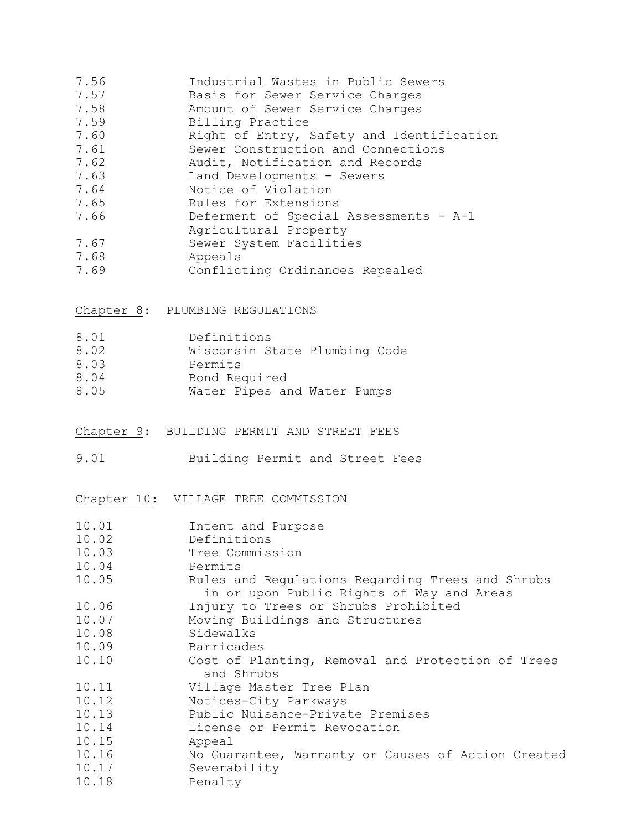| 7.56<br>7.57<br>7.58 | Industrial Wastes in Public Sewers<br>Basis for Sewer Service Charges<br>Amount of Sewer Service Charges |
|----------------------|----------------------------------------------------------------------------------------------------------|
| 7.59                 | Billing Practice                                                                                         |
| 7.60                 | Right of Entry, Safety and Identification                                                                |
| 7.61                 | Sewer Construction and Connections                                                                       |
| 7.62                 | Audit, Notification and Records                                                                          |
| 7.63                 | Land Developments - Sewers                                                                               |
| 7.64                 | Notice of Violation                                                                                      |
| 7.65                 | Rules for Extensions                                                                                     |
| 7.66                 | Deferment of Special Assessments - A-1<br>Agricultural Property                                          |
| 7.67<br>7.68<br>7.69 | Sewer System Facilities<br>Appeals<br>Conflicting Ordinances Repealed                                    |

## Chapter 8: PLUMBING REGULATIONS

| 8.01 | Definitions                   |
|------|-------------------------------|
| 8.02 | Wisconsin State Plumbing Code |
| 8.03 | Permits                       |
| 8.04 | Bond Required                 |
| 8.05 | Water Pipes and Water Pumps   |

## Chapter 9: BUILDING PERMIT AND STREET FEES

9.01 Building Permit and Street Fees

Chapter 10: VILLAGE TREE COMMISSION

| 10.01 | Intent and Purpose                                 |
|-------|----------------------------------------------------|
| 10.02 | Definitions                                        |
| 10.03 | Tree Commission                                    |
| 10.04 | Permits                                            |
| 10.05 | Rules and Regulations Regarding Trees and Shrubs   |
|       | in or upon Public Rights of Way and Areas          |
| 10.06 | Injury to Trees or Shrubs Prohibited               |
| 10.07 | Moving Buildings and Structures                    |
| 10.08 | Sidewalks                                          |
| 10.09 | Barricades                                         |
| 10.10 | Cost of Planting, Removal and Protection of Trees  |
|       | and Shrubs                                         |
| 10.11 | Village Master Tree Plan                           |
| 10.12 | Notices-City Parkways                              |
| 10.13 | Public Nuisance-Private Premises                   |
| 10.14 | License or Permit Revocation                       |
| 10.15 | Appeal                                             |
| 10.16 | No Guarantee, Warranty or Causes of Action Created |
| 10.17 | Severability                                       |
| 10.18 | Penalty                                            |
|       |                                                    |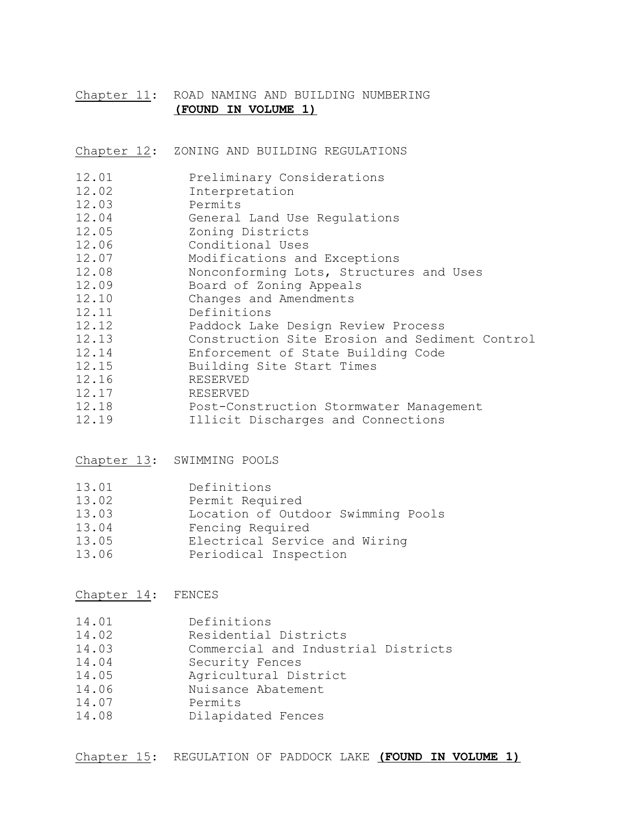#### Chapter 11: ROAD NAMING AND BUILDING NUMBERING **(FOUND IN VOLUME 1)**

Chapter 12: ZONING AND BUILDING REGULATIONS

| 12.01 |  | Preliminary Considerations |
|-------|--|----------------------------|
|-------|--|----------------------------|

- 12.02 Interpretation
- 12.03 Permits
- 12.04 General Land Use Regulations
- 12.05 Zoning Districts
- 12.06 Conditional Uses
- 12.07 Modifications and Exceptions
- 12.08 Nonconforming Lots, Structures and Uses
- 12.09 Board of Zoning Appeals
- 12.10 Changes and Amendments
- 12.11 Definitions
- 12.12 Paddock Lake Design Review Process
- 12.13 Construction Site Erosion and Sediment Control<br>12.14 Enforcement of State Building Code
- Enforcement of State Building Code
- 12.15 Building Site Start Times
- 12.16 RESERVED
- 12.17 RESERVED
- 12.18 Post-Construction Stormwater Management
- 12.19 Illicit Discharges and Connections

Chapter 13: SWIMMING POOLS

| 13.01 | Definitions                        |
|-------|------------------------------------|
| 13.02 | Permit Required                    |
| 13.03 | Location of Outdoor Swimming Pools |
| 13.04 | Fencing Required                   |
| 13.05 | Electrical Service and Wiring      |
| 13.06 | Periodical Inspection              |

Chapter 14: FENCES

| 14.01 | Definitions                         |
|-------|-------------------------------------|
| 14.02 | Residential Districts               |
| 14.03 | Commercial and Industrial Districts |
| 14.04 | Security Fences                     |
| 14.05 | Agricultural District               |
| 14.06 | Nuisance Abatement                  |
| 14.07 | Permits                             |
| 14.08 | Dilapidated Fences                  |

Chapter 15: REGULATION OF PADDOCK LAKE **(FOUND IN VOLUME 1)**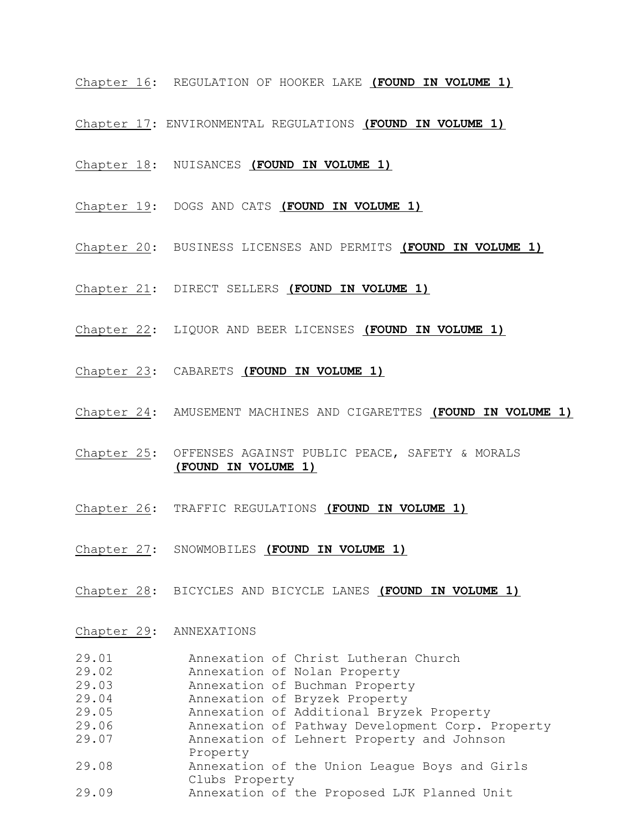- Chapter 16: REGULATION OF HOOKER LAKE **(FOUND IN VOLUME 1)**
- Chapter 17: ENVIRONMENTAL REGULATIONS **(FOUND IN VOLUME 1)**
- Chapter 18: NUISANCES **(FOUND IN VOLUME 1)**
- Chapter 19: DOGS AND CATS **(FOUND IN VOLUME 1)**
- Chapter 20: BUSINESS LICENSES AND PERMITS **(FOUND IN VOLUME 1)**
- Chapter 21: DIRECT SELLERS **(FOUND IN VOLUME 1)**
- Chapter 22: LIQUOR AND BEER LICENSES **(FOUND IN VOLUME 1)**
- Chapter 23: CABARETS **(FOUND IN VOLUME 1)**
- Chapter 24: AMUSEMENT MACHINES AND CIGARETTES **(FOUND IN VOLUME 1)**
- Chapter 25: OFFENSES AGAINST PUBLIC PEACE, SAFETY & MORALS **(FOUND IN VOLUME 1)**
- Chapter 26: TRAFFIC REGULATIONS **(FOUND IN VOLUME 1)**
- Chapter 27: SNOWMOBILES **(FOUND IN VOLUME 1)**
- Chapter 28: BICYCLES AND BICYCLE LANES **(FOUND IN VOLUME 1)**

#### Chapter 29: ANNEXATIONS

| 29.01 | Annexation of Christ Lutheran Church             |
|-------|--------------------------------------------------|
| 29.02 | Annexation of Nolan Property                     |
| 29.03 | Annexation of Buchman Property                   |
| 29.04 | Annexation of Bryzek Property                    |
| 29.05 | Annexation of Additional Bryzek Property         |
| 29.06 | Annexation of Pathway Development Corp. Property |
| 29.07 | Annexation of Lehnert Property and Johnson       |
|       | Property                                         |
| 29.08 | Annexation of the Union League Boys and Girls    |
|       | Clubs Property                                   |
| 29.09 | Annexation of the Proposed LJK Planned Unit      |
|       |                                                  |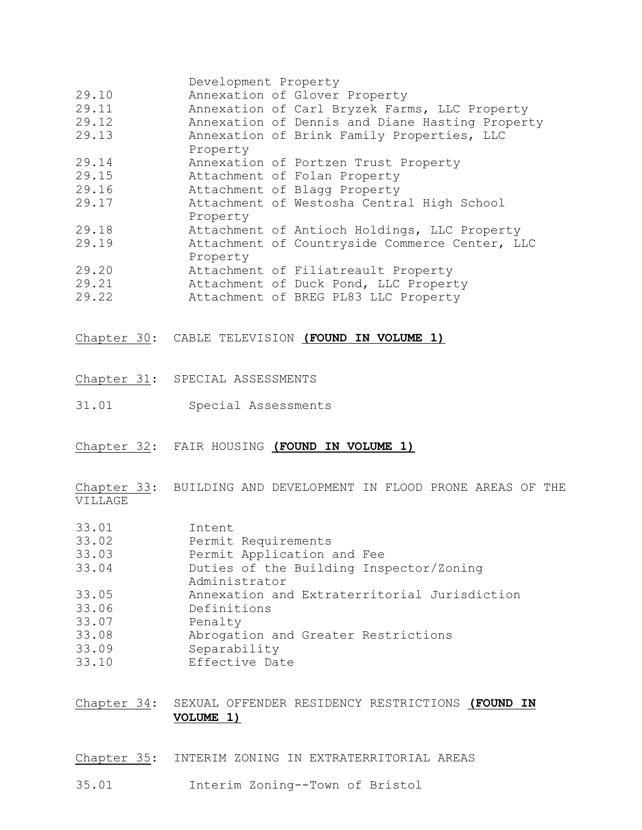|                                  | Development Property                                                                                                    |
|----------------------------------|-------------------------------------------------------------------------------------------------------------------------|
| 29.10                            | Annexation of Glover Property                                                                                           |
| 29.11                            | Annexation of Carl Bryzek Farms, LLC Property                                                                           |
| 29.12                            | Annexation of Dennis and Diane Hasting Property                                                                         |
| 29.13                            | Annexation of Brink Family Properties, LLC<br>Property                                                                  |
| 29.14                            | Annexation of Portzen Trust Property                                                                                    |
| 29.15                            | Attachment of Folan Property                                                                                            |
| 29.16                            | Attachment of Blagg Property                                                                                            |
| 29.17                            | Attachment of Westosha Central High School<br>Property                                                                  |
| 29.18                            | Attachment of Antioch Holdings, LLC Property                                                                            |
| 29.19                            | Attachment of Countryside Commerce Center, LLC<br>Property                                                              |
| 29.20                            | Attachment of Filiatreault Property                                                                                     |
| 29.21                            | Attachment of Duck Pond, LLC Property                                                                                   |
| 29.22                            | Attachment of BREG PL83 LLC Property                                                                                    |
|                                  | Chapter 30: CABLE TELEVISION (FOUND IN VOLUME 1)                                                                        |
|                                  | Chapter 31: SPECIAL ASSESSMENTS                                                                                         |
| 31.01                            | Special Assessments                                                                                                     |
|                                  | Chapter 32: FAIR HOUSING (FOUND IN VOLUME 1)                                                                            |
| VILLAGE                          | Chapter 33: BUILDING AND DEVELOPMENT IN FLOOD PRONE AREAS OF THE                                                        |
| 33.01<br>33.02<br>33.03<br>33.04 | Intent<br>Permit Requirements<br>Permit Application and Fee<br>Duties of the Building Inspector/Zoning<br>Administrator |
| 33.05<br>33.06<br>33.07          | Annexation and Extraterritorial Jurisdiction<br>Definitions<br>Penalty                                                  |
| 33.08<br>33.09<br>33.10          | Abrogation and Greater Restrictions<br>Separability<br>Effective Date                                                   |
| Chapter 34:                      | SEXUAL OFFENDER RESIDENCY RESTRICTIONS (FOUND IN<br>VOLUME 1)                                                           |

- Chapter 35: INTERIM ZONING IN EXTRATERRITORIAL AREAS
- 35.01 Interim Zoning--Town of Bristol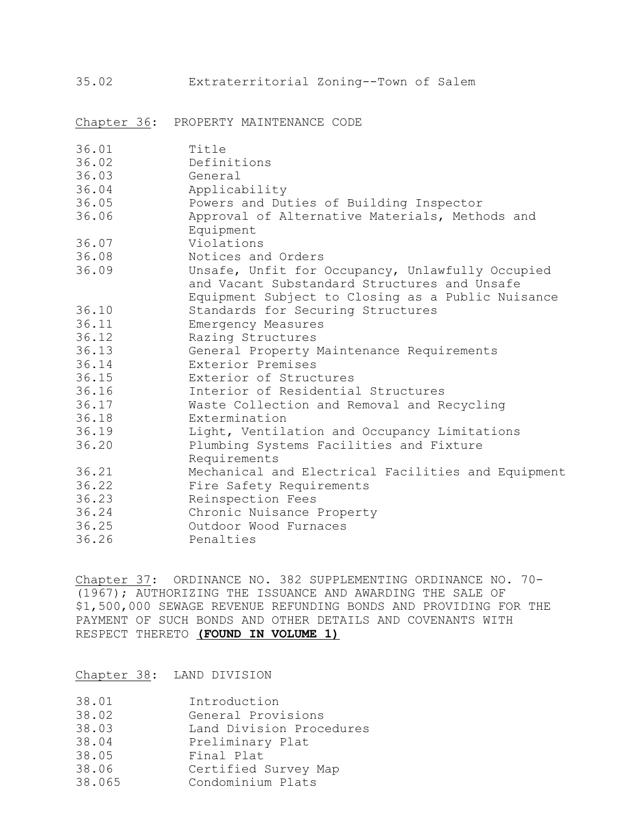35.02 Extraterritorial Zoning--Town of Salem

Chapter 36: PROPERTY MAINTENANCE CODE

| 36.01 | Title                                                                                            |
|-------|--------------------------------------------------------------------------------------------------|
| 36.02 | Definitions                                                                                      |
| 36.03 | General                                                                                          |
| 36.04 | Applicability                                                                                    |
| 36.05 | Powers and Duties of Building Inspector                                                          |
| 36.06 | Approval of Alternative Materials, Methods and<br>Equipment                                      |
| 36.07 | Violations                                                                                       |
| 36.08 | Notices and Orders                                                                               |
| 36.09 |                                                                                                  |
|       | Unsafe, Unfit for Occupancy, Unlawfully Occupied<br>and Vacant Substandard Structures and Unsafe |
|       | Equipment Subject to Closing as a Public Nuisance                                                |
| 36.10 | Standards for Securing Structures                                                                |
| 36.11 | Emergency Measures                                                                               |
| 36.12 | Razing Structures                                                                                |
| 36.13 |                                                                                                  |
|       | General Property Maintenance Requirements<br>Exterior Premises                                   |
| 36.14 |                                                                                                  |
| 36.15 | Exterior of Structures                                                                           |
| 36.16 | Interior of Residential Structures                                                               |
| 36.17 | Waste Collection and Removal and Recycling                                                       |
| 36.18 | Extermination                                                                                    |
| 36.19 | Light, Ventilation and Occupancy Limitations                                                     |
| 36.20 | Plumbing Systems Facilities and Fixture                                                          |
|       | Requirements                                                                                     |
| 36.21 | Mechanical and Electrical Facilities and Equipment                                               |
| 36.22 | Fire Safety Requirements                                                                         |
| 36.23 | Reinspection Fees                                                                                |
| 36.24 | Chronic Nuisance Property                                                                        |
| 36.25 | Outdoor Wood Furnaces                                                                            |
| 36.26 | Penalties                                                                                        |

Chapter 37: ORDINANCE NO. 382 SUPPLEMENTING ORDINANCE NO. 70- (1967); AUTHORIZING THE ISSUANCE AND AWARDING THE SALE OF \$1,500,000 SEWAGE REVENUE REFUNDING BONDS AND PROVIDING FOR THE PAYMENT OF SUCH BONDS AND OTHER DETAILS AND COVENANTS WITH RESPECT THERETO **(FOUND IN VOLUME 1)**

Chapter 38: LAND DIVISION

- 38.02 General Provisions
- 38.03 Land Division Procedures
- 38.04 Preliminary Plat
- 
- 38.06 Certified Survey Map
- 38.05 Final Plat<br>38.06 Certified S<br>38.065 Condominium 38.065 Condominium Plats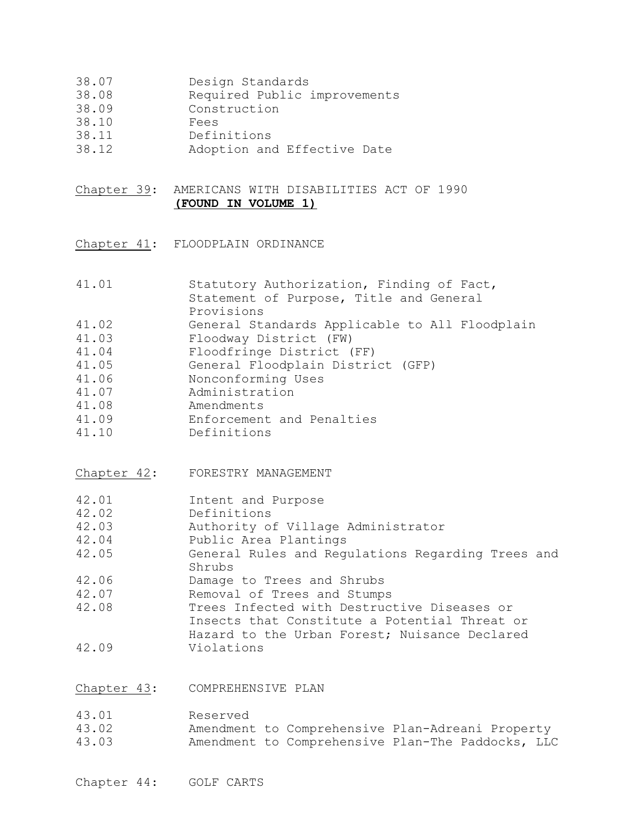- 38.07 Design Standards
- 38.08 Required Public improvements
- 38.09 Construction
- 38.10 Fees
- 
- 38.11 Definitions<br>38.12 Adoption and Adoption and Effective Date
- Chapter 39: AMERICANS WITH DISABILITIES ACT OF 1990 **(FOUND IN VOLUME 1)**
- Chapter 41: FLOODPLAIN ORDINANCE

| 41.01       | Statutory Authorization, Finding of Fact,<br>Statement of Purpose, Title and General<br>Provisions |  |  |  |  |  |
|-------------|----------------------------------------------------------------------------------------------------|--|--|--|--|--|
| 41.02       | General Standards Applicable to All Floodplain                                                     |  |  |  |  |  |
| 41.03       | Floodway District (FW)                                                                             |  |  |  |  |  |
| 41.04       | Floodfringe District (FF)                                                                          |  |  |  |  |  |
| 41.05       | General Floodplain District (GFP)                                                                  |  |  |  |  |  |
| 41.06       | Nonconforming Uses                                                                                 |  |  |  |  |  |
| 41.07       | Administration                                                                                     |  |  |  |  |  |
| 41.08       | Amendments                                                                                         |  |  |  |  |  |
| 41.09       | Enforcement and Penalties                                                                          |  |  |  |  |  |
| 41.10       | Definitions                                                                                        |  |  |  |  |  |
| Chapter 42: | FORESTRY MANAGEMENT                                                                                |  |  |  |  |  |
| 42.01       | Intent and Purpose                                                                                 |  |  |  |  |  |
| 42.02       | Definitions                                                                                        |  |  |  |  |  |
| 42.03       | Authority of Village Administrator                                                                 |  |  |  |  |  |
| 42.04       | Public Area Plantings                                                                              |  |  |  |  |  |
| 42.05       | General Rules and Regulations Regarding Trees and<br>Shrubs                                        |  |  |  |  |  |
| 42.06       | Damage to Trees and Shrubs                                                                         |  |  |  |  |  |
| 42.07       | Removal of Trees and Stumps                                                                        |  |  |  |  |  |
| 42.08       | Trees Infected with Destructive Diseases or                                                        |  |  |  |  |  |
|             | Insects that Constitute a Potential Threat or                                                      |  |  |  |  |  |
|             | Hazard to the Urban Forest; Nuisance Declared                                                      |  |  |  |  |  |
| 42.09       | Violations                                                                                         |  |  |  |  |  |
|             |                                                                                                    |  |  |  |  |  |

Chapter 43: COMPREHENSIVE PLAN

| 43.01 | Reserved |                                                   |  |  |
|-------|----------|---------------------------------------------------|--|--|
| 43.02 |          | Amendment to Comprehensive Plan-Adreani Property  |  |  |
| 43.03 |          | Amendment to Comprehensive Plan-The Paddocks, LLC |  |  |

Chapter 44: GOLF CARTS